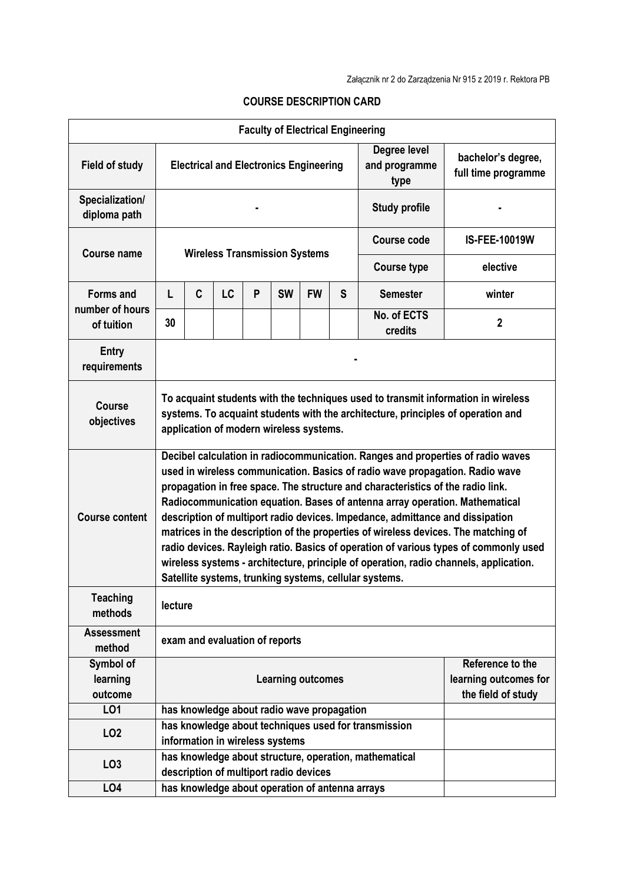|                                     |                                                                                                                                                                                                                                                                                                                                                                                                                                                                                                                                                                                                                                                                                                                                                     |                                                                                                  |                                                 |   |           | <b>Faculty of Electrical Engineering</b> |                       |                                                                                                      |  |
|-------------------------------------|-----------------------------------------------------------------------------------------------------------------------------------------------------------------------------------------------------------------------------------------------------------------------------------------------------------------------------------------------------------------------------------------------------------------------------------------------------------------------------------------------------------------------------------------------------------------------------------------------------------------------------------------------------------------------------------------------------------------------------------------------------|--------------------------------------------------------------------------------------------------|-------------------------------------------------|---|-----------|------------------------------------------|-----------------------|------------------------------------------------------------------------------------------------------|--|
| <b>Field of study</b>               |                                                                                                                                                                                                                                                                                                                                                                                                                                                                                                                                                                                                                                                                                                                                                     | Degree level<br><b>Electrical and Electronics Engineering</b><br>and programme<br>type           |                                                 |   |           |                                          |                       | bachelor's degree,<br>full time programme                                                            |  |
| Specialization/<br>diploma path     | <b>Study profile</b>                                                                                                                                                                                                                                                                                                                                                                                                                                                                                                                                                                                                                                                                                                                                |                                                                                                  |                                                 |   |           |                                          |                       |                                                                                                      |  |
| <b>Course name</b>                  |                                                                                                                                                                                                                                                                                                                                                                                                                                                                                                                                                                                                                                                                                                                                                     |                                                                                                  | <b>Wireless Transmission Systems</b>            |   |           |                                          | Course code           | <b>IS-FEE-10019W</b><br>elective<br>winter<br>$\mathbf{2}$<br>Reference to the<br>the field of study |  |
|                                     |                                                                                                                                                                                                                                                                                                                                                                                                                                                                                                                                                                                                                                                                                                                                                     |                                                                                                  |                                                 |   |           |                                          |                       | <b>Course type</b>                                                                                   |  |
| <b>Forms and</b><br>number of hours | L                                                                                                                                                                                                                                                                                                                                                                                                                                                                                                                                                                                                                                                                                                                                                   | C                                                                                                | <b>LC</b>                                       | P | <b>SW</b> | <b>FW</b>                                | S                     | <b>Semester</b>                                                                                      |  |
| of tuition                          | 30                                                                                                                                                                                                                                                                                                                                                                                                                                                                                                                                                                                                                                                                                                                                                  |                                                                                                  |                                                 |   |           |                                          |                       | No. of ECTS<br>credits                                                                               |  |
| Entry<br>requirements               |                                                                                                                                                                                                                                                                                                                                                                                                                                                                                                                                                                                                                                                                                                                                                     |                                                                                                  |                                                 |   |           |                                          |                       |                                                                                                      |  |
| <b>Course</b><br>objectives         | To acquaint students with the techniques used to transmit information in wireless<br>systems. To acquaint students with the architecture, principles of operation and<br>application of modern wireless systems.                                                                                                                                                                                                                                                                                                                                                                                                                                                                                                                                    |                                                                                                  |                                                 |   |           |                                          |                       |                                                                                                      |  |
| <b>Course content</b>               | Decibel calculation in radiocommunication. Ranges and properties of radio waves<br>used in wireless communication. Basics of radio wave propagation. Radio wave<br>propagation in free space. The structure and characteristics of the radio link.<br>Radiocommunication equation. Bases of antenna array operation. Mathematical<br>description of multiport radio devices. Impedance, admittance and dissipation<br>matrices in the description of the properties of wireless devices. The matching of<br>radio devices. Rayleigh ratio. Basics of operation of various types of commonly used<br>wireless systems - architecture, principle of operation, radio channels, application.<br>Satellite systems, trunking systems, cellular systems. |                                                                                                  |                                                 |   |           |                                          |                       |                                                                                                      |  |
| <b>Teaching</b><br>methods          | lecture                                                                                                                                                                                                                                                                                                                                                                                                                                                                                                                                                                                                                                                                                                                                             |                                                                                                  |                                                 |   |           |                                          |                       |                                                                                                      |  |
| <b>Assessment</b><br>method         | exam and evaluation of reports                                                                                                                                                                                                                                                                                                                                                                                                                                                                                                                                                                                                                                                                                                                      |                                                                                                  |                                                 |   |           |                                          |                       |                                                                                                      |  |
| Symbol of<br>learning<br>outcome    | <b>Learning outcomes</b>                                                                                                                                                                                                                                                                                                                                                                                                                                                                                                                                                                                                                                                                                                                            |                                                                                                  |                                                 |   |           |                                          | learning outcomes for |                                                                                                      |  |
| LO1                                 |                                                                                                                                                                                                                                                                                                                                                                                                                                                                                                                                                                                                                                                                                                                                                     |                                                                                                  | has knowledge about radio wave propagation      |   |           |                                          |                       |                                                                                                      |  |
| LO <sub>2</sub>                     |                                                                                                                                                                                                                                                                                                                                                                                                                                                                                                                                                                                                                                                                                                                                                     | has knowledge about techniques used for transmission<br>information in wireless systems          |                                                 |   |           |                                          |                       |                                                                                                      |  |
| LO <sub>3</sub>                     |                                                                                                                                                                                                                                                                                                                                                                                                                                                                                                                                                                                                                                                                                                                                                     | has knowledge about structure, operation, mathematical<br>description of multiport radio devices |                                                 |   |           |                                          |                       |                                                                                                      |  |
| LO4                                 |                                                                                                                                                                                                                                                                                                                                                                                                                                                                                                                                                                                                                                                                                                                                                     |                                                                                                  | has knowledge about operation of antenna arrays |   |           |                                          |                       |                                                                                                      |  |

## **COURSE DESCRIPTION CARD**